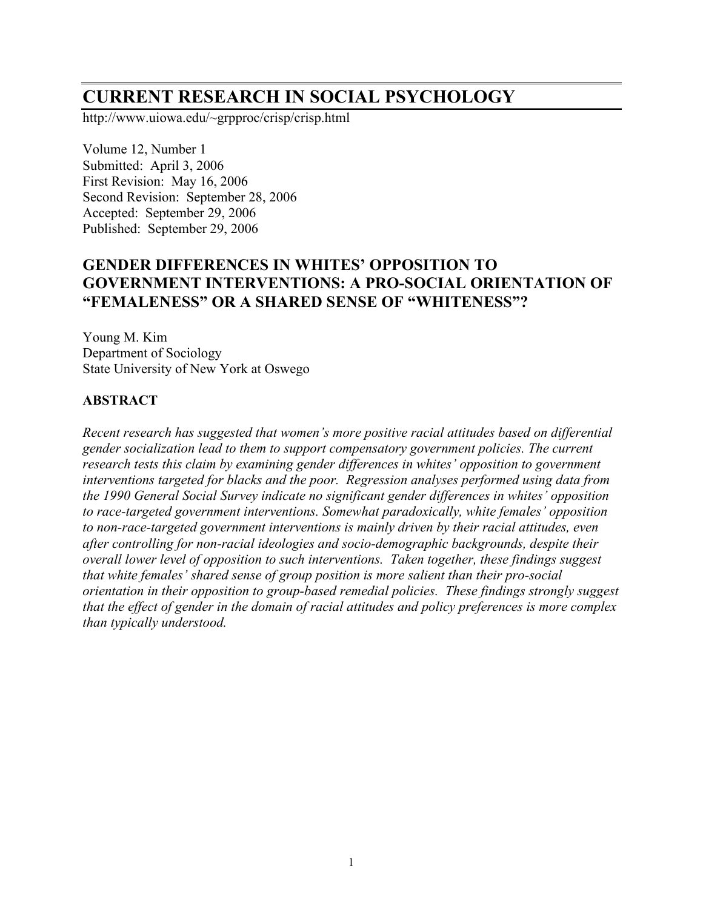# **CURRENT RESEARCH IN SOCIAL PSYCHOLOGY**

http://www.uiowa.edu/~grpproc/crisp/crisp.html

Volume 12, Number 1 Submitted: April 3, 2006 First Revision: May 16, 2006 Second Revision: September 28, 2006 Accepted: September 29, 2006 Published: September 29, 2006

# **GENDER DIFFERENCES IN WHITES' OPPOSITION TO GOVERNMENT INTERVENTIONS: A PRO-SOCIAL ORIENTATION OF "FEMALENESS" OR A SHARED SENSE OF "WHITENESS"?**

Young M. Kim Department of Sociology State University of New York at Oswego

## **ABSTRACT**

*Recent research has suggested that women's more positive racial attitudes based on differential gender socialization lead to them to support compensatory government policies. The current research tests this claim by examining gender differences in whites' opposition to government interventions targeted for blacks and the poor. Regression analyses performed using data from the 1990 General Social Survey indicate no significant gender differences in whites' opposition to race-targeted government interventions. Somewhat paradoxically, white females' opposition to non-race-targeted government interventions is mainly driven by their racial attitudes, even after controlling for non-racial ideologies and socio-demographic backgrounds, despite their overall lower level of opposition to such interventions. Taken together, these findings suggest that white females' shared sense of group position is more salient than their pro-social orientation in their opposition to group-based remedial policies. These findings strongly suggest that the effect of gender in the domain of racial attitudes and policy preferences is more complex than typically understood.*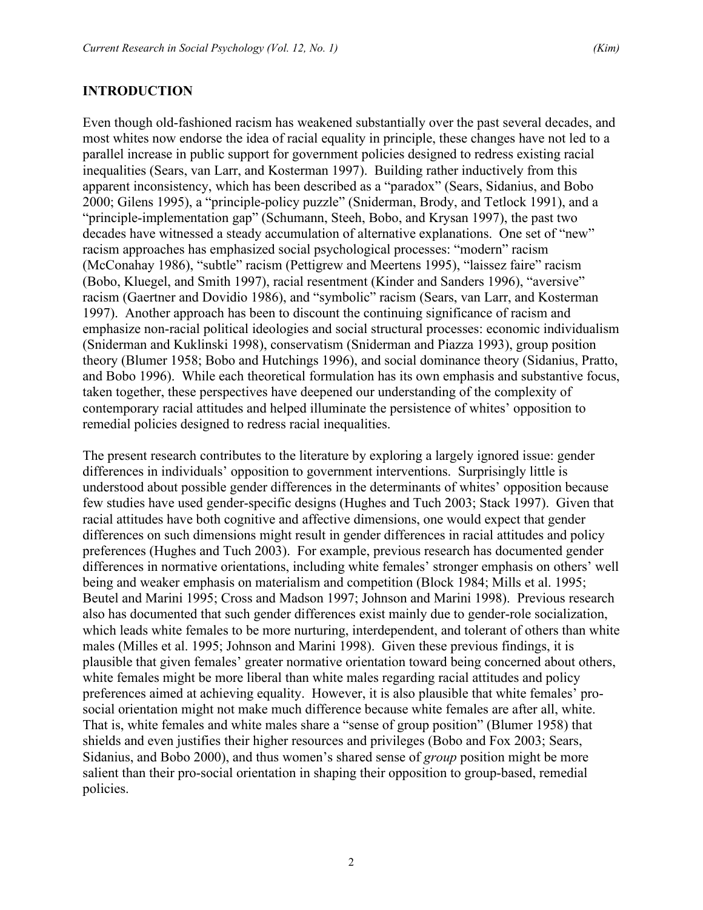# **INTRODUCTION**

Even though old-fashioned racism has weakened substantially over the past several decades, and most whites now endorse the idea of racial equality in principle, these changes have not led to a parallel increase in public support for government policies designed to redress existing racial inequalities (Sears, van Larr, and Kosterman 1997). Building rather inductively from this apparent inconsistency, which has been described as a "paradox" (Sears, Sidanius, and Bobo 2000; Gilens 1995), a "principle-policy puzzle" (Sniderman, Brody, and Tetlock 1991), and a "principle-implementation gap" (Schumann, Steeh, Bobo, and Krysan 1997), the past two decades have witnessed a steady accumulation of alternative explanations. One set of "new" racism approaches has emphasized social psychological processes: "modern" racism (McConahay 1986), "subtle" racism (Pettigrew and Meertens 1995), "laissez faire" racism (Bobo, Kluegel, and Smith 1997), racial resentment (Kinder and Sanders 1996), "aversive" racism (Gaertner and Dovidio 1986), and "symbolic" racism (Sears, van Larr, and Kosterman 1997). Another approach has been to discount the continuing significance of racism and emphasize non-racial political ideologies and social structural processes: economic individualism (Sniderman and Kuklinski 1998), conservatism (Sniderman and Piazza 1993), group position theory (Blumer 1958; Bobo and Hutchings 1996), and social dominance theory (Sidanius, Pratto, and Bobo 1996). While each theoretical formulation has its own emphasis and substantive focus, taken together, these perspectives have deepened our understanding of the complexity of contemporary racial attitudes and helped illuminate the persistence of whites' opposition to remedial policies designed to redress racial inequalities.

The present research contributes to the literature by exploring a largely ignored issue: gender differences in individuals' opposition to government interventions. Surprisingly little is understood about possible gender differences in the determinants of whites' opposition because few studies have used gender-specific designs (Hughes and Tuch 2003; Stack 1997). Given that racial attitudes have both cognitive and affective dimensions, one would expect that gender differences on such dimensions might result in gender differences in racial attitudes and policy preferences (Hughes and Tuch 2003). For example, previous research has documented gender differences in normative orientations, including white females' stronger emphasis on others' well being and weaker emphasis on materialism and competition (Block 1984; Mills et al. 1995; Beutel and Marini 1995; Cross and Madson 1997; Johnson and Marini 1998). Previous research also has documented that such gender differences exist mainly due to gender-role socialization, which leads white females to be more nurturing, interdependent, and tolerant of others than white males (Milles et al. 1995; Johnson and Marini 1998). Given these previous findings, it is plausible that given females' greater normative orientation toward being concerned about others, white females might be more liberal than white males regarding racial attitudes and policy preferences aimed at achieving equality. However, it is also plausible that white females' prosocial orientation might not make much difference because white females are after all, white. That is, white females and white males share a "sense of group position" (Blumer 1958) that shields and even justifies their higher resources and privileges (Bobo and Fox 2003; Sears, Sidanius, and Bobo 2000), and thus women's shared sense of *group* position might be more salient than their pro-social orientation in shaping their opposition to group-based, remedial policies.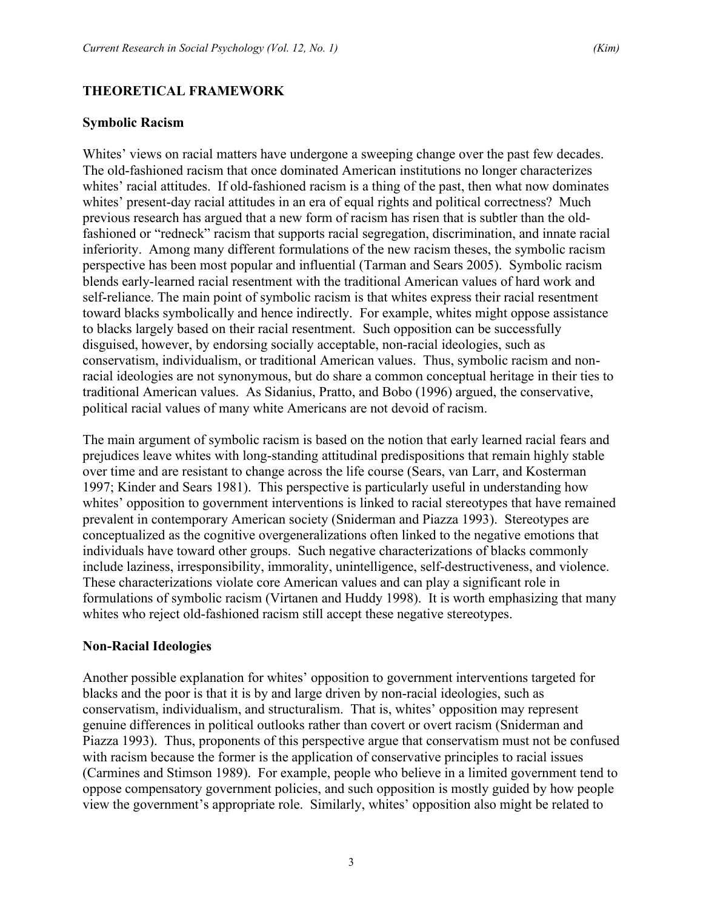## **THEORETICAL FRAMEWORK**

#### **Symbolic Racism**

Whites' views on racial matters have undergone a sweeping change over the past few decades. The old-fashioned racism that once dominated American institutions no longer characterizes whites' racial attitudes. If old-fashioned racism is a thing of the past, then what now dominates whites' present-day racial attitudes in an era of equal rights and political correctness? Much previous research has argued that a new form of racism has risen that is subtler than the oldfashioned or "redneck" racism that supports racial segregation, discrimination, and innate racial inferiority. Among many different formulations of the new racism theses, the symbolic racism perspective has been most popular and influential (Tarman and Sears 2005). Symbolic racism blends early-learned racial resentment with the traditional American values of hard work and self-reliance. The main point of symbolic racism is that whites express their racial resentment toward blacks symbolically and hence indirectly. For example, whites might oppose assistance to blacks largely based on their racial resentment. Such opposition can be successfully disguised, however, by endorsing socially acceptable, non-racial ideologies, such as conservatism, individualism, or traditional American values. Thus, symbolic racism and nonracial ideologies are not synonymous, but do share a common conceptual heritage in their ties to traditional American values. As Sidanius, Pratto, and Bobo (1996) argued, the conservative, political racial values of many white Americans are not devoid of racism.

The main argument of symbolic racism is based on the notion that early learned racial fears and prejudices leave whites with long-standing attitudinal predispositions that remain highly stable over time and are resistant to change across the life course (Sears, van Larr, and Kosterman 1997; Kinder and Sears 1981). This perspective is particularly useful in understanding how whites' opposition to government interventions is linked to racial stereotypes that have remained prevalent in contemporary American society (Sniderman and Piazza 1993). Stereotypes are conceptualized as the cognitive overgeneralizations often linked to the negative emotions that individuals have toward other groups. Such negative characterizations of blacks commonly include laziness, irresponsibility, immorality, unintelligence, self-destructiveness, and violence. These characterizations violate core American values and can play a significant role in formulations of symbolic racism (Virtanen and Huddy 1998). It is worth emphasizing that many whites who reject old-fashioned racism still accept these negative stereotypes.

#### **Non-Racial Ideologies**

Another possible explanation for whites' opposition to government interventions targeted for blacks and the poor is that it is by and large driven by non-racial ideologies, such as conservatism, individualism, and structuralism. That is, whites' opposition may represent genuine differences in political outlooks rather than covert or overt racism (Sniderman and Piazza 1993). Thus, proponents of this perspective argue that conservatism must not be confused with racism because the former is the application of conservative principles to racial issues (Carmines and Stimson 1989). For example, people who believe in a limited government tend to oppose compensatory government policies, and such opposition is mostly guided by how people view the government's appropriate role. Similarly, whites' opposition also might be related to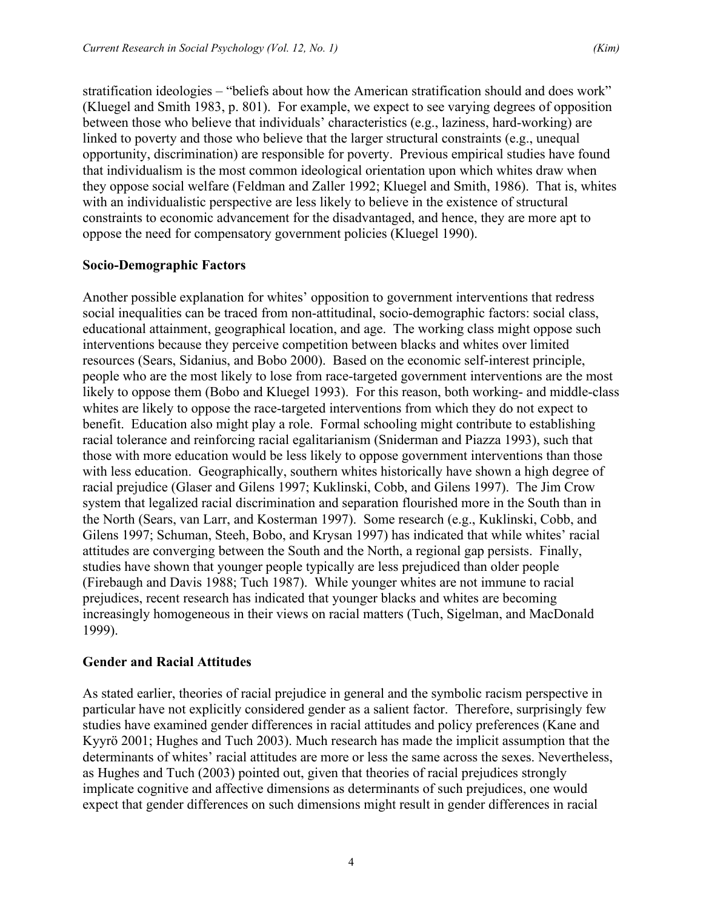stratification ideologies – "beliefs about how the American stratification should and does work" (Kluegel and Smith 1983, p. 801). For example, we expect to see varying degrees of opposition between those who believe that individuals' characteristics (e.g., laziness, hard-working) are linked to poverty and those who believe that the larger structural constraints (e.g., unequal opportunity, discrimination) are responsible for poverty. Previous empirical studies have found that individualism is the most common ideological orientation upon which whites draw when they oppose social welfare (Feldman and Zaller 1992; Kluegel and Smith, 1986). That is, whites with an individualistic perspective are less likely to believe in the existence of structural constraints to economic advancement for the disadvantaged, and hence, they are more apt to oppose the need for compensatory government policies (Kluegel 1990).

## **Socio-Demographic Factors**

Another possible explanation for whites' opposition to government interventions that redress social inequalities can be traced from non-attitudinal, socio-demographic factors: social class, educational attainment, geographical location, and age. The working class might oppose such interventions because they perceive competition between blacks and whites over limited resources (Sears, Sidanius, and Bobo 2000). Based on the economic self-interest principle, people who are the most likely to lose from race-targeted government interventions are the most likely to oppose them (Bobo and Kluegel 1993). For this reason, both working- and middle-class whites are likely to oppose the race-targeted interventions from which they do not expect to benefit. Education also might play a role. Formal schooling might contribute to establishing racial tolerance and reinforcing racial egalitarianism (Sniderman and Piazza 1993), such that those with more education would be less likely to oppose government interventions than those with less education. Geographically, southern whites historically have shown a high degree of racial prejudice (Glaser and Gilens 1997; Kuklinski, Cobb, and Gilens 1997). The Jim Crow system that legalized racial discrimination and separation flourished more in the South than in the North (Sears, van Larr, and Kosterman 1997). Some research (e.g., Kuklinski, Cobb, and Gilens 1997; Schuman, Steeh, Bobo, and Krysan 1997) has indicated that while whites' racial attitudes are converging between the South and the North, a regional gap persists. Finally, studies have shown that younger people typically are less prejudiced than older people (Firebaugh and Davis 1988; Tuch 1987). While younger whites are not immune to racial prejudices, recent research has indicated that younger blacks and whites are becoming increasingly homogeneous in their views on racial matters (Tuch, Sigelman, and MacDonald 1999).

#### **Gender and Racial Attitudes**

As stated earlier, theories of racial prejudice in general and the symbolic racism perspective in particular have not explicitly considered gender as a salient factor. Therefore, surprisingly few studies have examined gender differences in racial attitudes and policy preferences (Kane and Kyyrö 2001; Hughes and Tuch 2003). Much research has made the implicit assumption that the determinants of whites' racial attitudes are more or less the same across the sexes. Nevertheless, as Hughes and Tuch (2003) pointed out, given that theories of racial prejudices strongly implicate cognitive and affective dimensions as determinants of such prejudices, one would expect that gender differences on such dimensions might result in gender differences in racial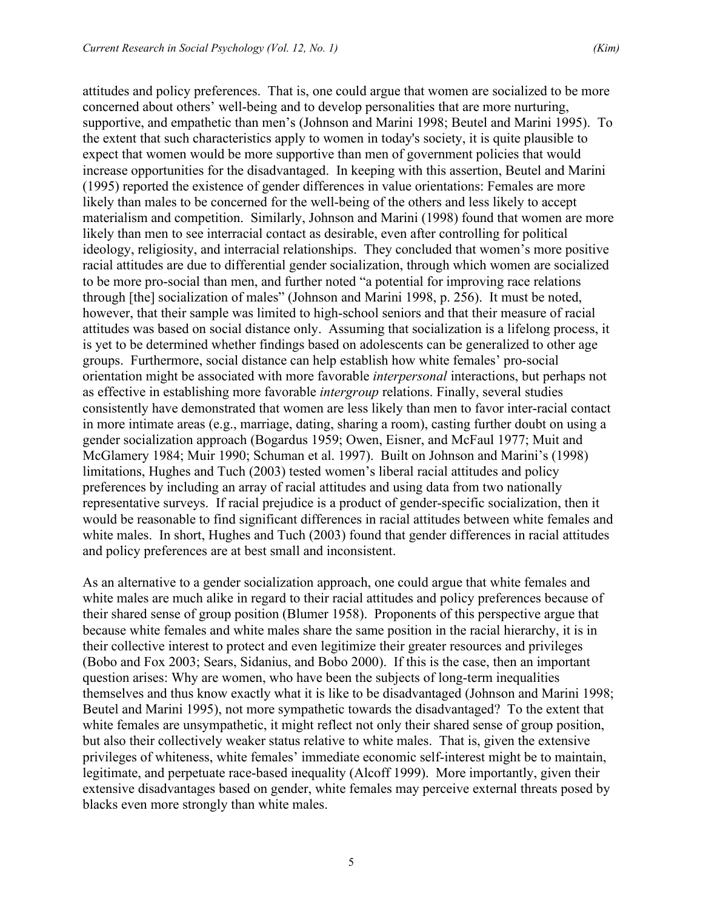attitudes and policy preferences. That is, one could argue that women are socialized to be more concerned about others' well-being and to develop personalities that are more nurturing, supportive, and empathetic than men's (Johnson and Marini 1998; Beutel and Marini 1995). To the extent that such characteristics apply to women in today's society, it is quite plausible to expect that women would be more supportive than men of government policies that would increase opportunities for the disadvantaged. In keeping with this assertion, Beutel and Marini (1995) reported the existence of gender differences in value orientations: Females are more likely than males to be concerned for the well-being of the others and less likely to accept materialism and competition. Similarly, Johnson and Marini (1998) found that women are more likely than men to see interracial contact as desirable, even after controlling for political ideology, religiosity, and interracial relationships. They concluded that women's more positive racial attitudes are due to differential gender socialization, through which women are socialized to be more pro-social than men, and further noted "a potential for improving race relations through [the] socialization of males" (Johnson and Marini 1998, p. 256). It must be noted, however, that their sample was limited to high-school seniors and that their measure of racial attitudes was based on social distance only. Assuming that socialization is a lifelong process, it is yet to be determined whether findings based on adolescents can be generalized to other age groups. Furthermore, social distance can help establish how white females' pro-social orientation might be associated with more favorable *interpersonal* interactions, but perhaps not as effective in establishing more favorable *intergroup* relations. Finally, several studies consistently have demonstrated that women are less likely than men to favor inter-racial contact in more intimate areas (e.g., marriage, dating, sharing a room), casting further doubt on using a gender socialization approach (Bogardus 1959; Owen, Eisner, and McFaul 1977; Muit and McGlamery 1984; Muir 1990; Schuman et al. 1997). Built on Johnson and Marini's (1998) limitations, Hughes and Tuch (2003) tested women's liberal racial attitudes and policy preferences by including an array of racial attitudes and using data from two nationally representative surveys. If racial prejudice is a product of gender-specific socialization, then it would be reasonable to find significant differences in racial attitudes between white females and white males. In short, Hughes and Tuch (2003) found that gender differences in racial attitudes and policy preferences are at best small and inconsistent.

As an alternative to a gender socialization approach, one could argue that white females and white males are much alike in regard to their racial attitudes and policy preferences because of their shared sense of group position (Blumer 1958). Proponents of this perspective argue that because white females and white males share the same position in the racial hierarchy, it is in their collective interest to protect and even legitimize their greater resources and privileges (Bobo and Fox 2003; Sears, Sidanius, and Bobo 2000). If this is the case, then an important question arises: Why are women, who have been the subjects of long-term inequalities themselves and thus know exactly what it is like to be disadvantaged (Johnson and Marini 1998; Beutel and Marini 1995), not more sympathetic towards the disadvantaged? To the extent that white females are unsympathetic, it might reflect not only their shared sense of group position, but also their collectively weaker status relative to white males. That is, given the extensive privileges of whiteness, white females' immediate economic self-interest might be to maintain, legitimate, and perpetuate race-based inequality (Alcoff 1999). More importantly, given their extensive disadvantages based on gender, white females may perceive external threats posed by blacks even more strongly than white males.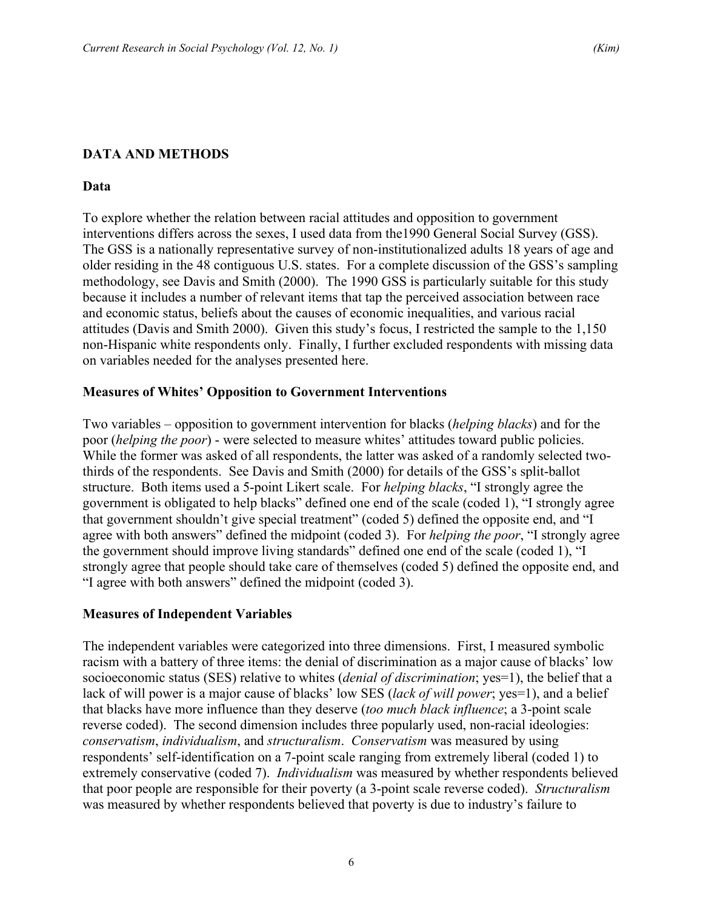# **DATA AND METHODS**

## **Data**

To explore whether the relation between racial attitudes and opposition to government interventions differs across the sexes, I used data from the1990 General Social Survey (GSS). The GSS is a nationally representative survey of non-institutionalized adults 18 years of age and older residing in the 48 contiguous U.S. states. For a complete discussion of the GSS's sampling methodology, see Davis and Smith (2000). The 1990 GSS is particularly suitable for this study because it includes a number of relevant items that tap the perceived association between race and economic status, beliefs about the causes of economic inequalities, and various racial attitudes (Davis and Smith 2000). Given this study's focus, I restricted the sample to the 1,150 non-Hispanic white respondents only. Finally, I further excluded respondents with missing data on variables needed for the analyses presented here.

## **Measures of Whites' Opposition to Government Interventions**

Two variables – opposition to government intervention for blacks (*helping blacks*) and for the poor (*helping the poor*) - were selected to measure whites' attitudes toward public policies. While the former was asked of all respondents, the latter was asked of a randomly selected twothirds of the respondents. See Davis and Smith (2000) for details of the GSS's split-ballot structure. Both items used a 5-point Likert scale. For *helping blacks*, "I strongly agree the government is obligated to help blacks" defined one end of the scale (coded 1), "I strongly agree that government shouldn't give special treatment" (coded 5) defined the opposite end, and "I agree with both answers" defined the midpoint (coded 3). For *helping the poor*, "I strongly agree the government should improve living standards" defined one end of the scale (coded 1), "I strongly agree that people should take care of themselves (coded 5) defined the opposite end, and "I agree with both answers" defined the midpoint (coded 3).

#### **Measures of Independent Variables**

The independent variables were categorized into three dimensions. First, I measured symbolic racism with a battery of three items: the denial of discrimination as a major cause of blacks' low socioeconomic status (SES) relative to whites (*denial of discrimination*; yes=1), the belief that a lack of will power is a major cause of blacks' low SES (*lack of will power*; yes=1), and a belief that blacks have more influence than they deserve (*too much black influence*; a 3-point scale reverse coded). The second dimension includes three popularly used, non-racial ideologies: *conservatism*, *individualism*, and *structuralism*. *Conservatism* was measured by using respondents' self-identification on a 7-point scale ranging from extremely liberal (coded 1) to extremely conservative (coded 7). *Individualism* was measured by whether respondents believed that poor people are responsible for their poverty (a 3-point scale reverse coded). *Structuralism* was measured by whether respondents believed that poverty is due to industry's failure to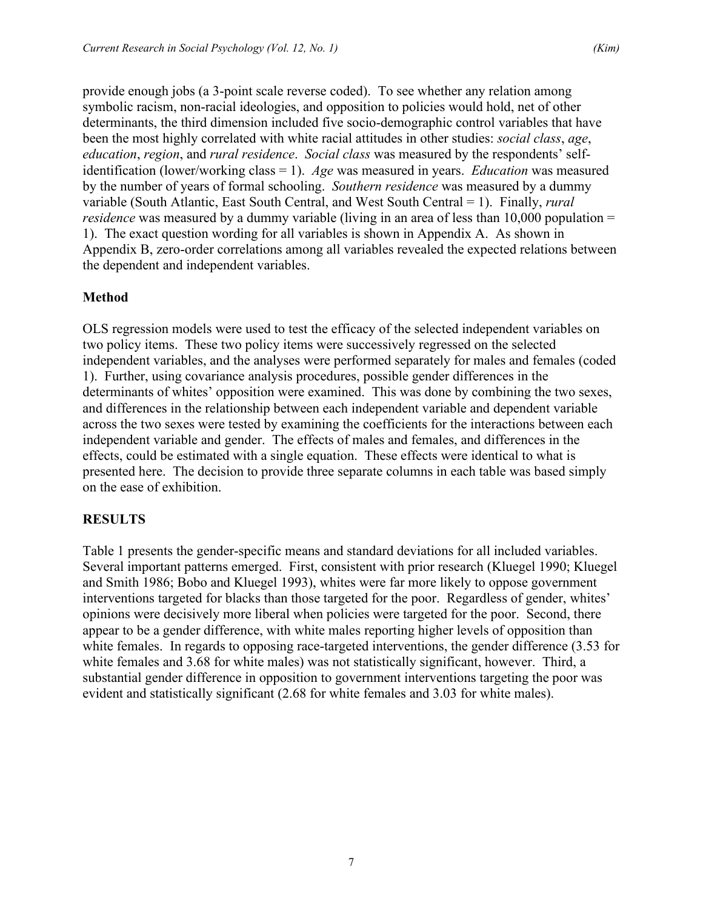provide enough jobs (a 3-point scale reverse coded). To see whether any relation among symbolic racism, non-racial ideologies, and opposition to policies would hold, net of other determinants, the third dimension included five socio-demographic control variables that have been the most highly correlated with white racial attitudes in other studies: *social class*, *age*, *education*, *region*, and *rural residence*. *Social class* was measured by the respondents' selfidentification (lower/working class = 1). *Age* was measured in years. *Education* was measured by the number of years of formal schooling. *Southern residence* was measured by a dummy variable (South Atlantic, East South Central, and West South Central = 1). Finally, *rural residence* was measured by a dummy variable (living in an area of less than 10,000 population = 1). The exact question wording for all variables is shown in Appendix A. As shown in Appendix B, zero-order correlations among all variables revealed the expected relations between the dependent and independent variables.

# **Method**

OLS regression models were used to test the efficacy of the selected independent variables on two policy items. These two policy items were successively regressed on the selected independent variables, and the analyses were performed separately for males and females (coded 1). Further, using covariance analysis procedures, possible gender differences in the determinants of whites' opposition were examined. This was done by combining the two sexes, and differences in the relationship between each independent variable and dependent variable across the two sexes were tested by examining the coefficients for the interactions between each independent variable and gender. The effects of males and females, and differences in the effects, could be estimated with a single equation. These effects were identical to what is presented here. The decision to provide three separate columns in each table was based simply on the ease of exhibition.

# **RESULTS**

Table 1 presents the gender-specific means and standard deviations for all included variables. Several important patterns emerged. First, consistent with prior research (Kluegel 1990; Kluegel and Smith 1986; Bobo and Kluegel 1993), whites were far more likely to oppose government interventions targeted for blacks than those targeted for the poor. Regardless of gender, whites' opinions were decisively more liberal when policies were targeted for the poor. Second, there appear to be a gender difference, with white males reporting higher levels of opposition than white females. In regards to opposing race-targeted interventions, the gender difference (3.53 for white females and 3.68 for white males) was not statistically significant, however. Third, a substantial gender difference in opposition to government interventions targeting the poor was evident and statistically significant (2.68 for white females and 3.03 for white males).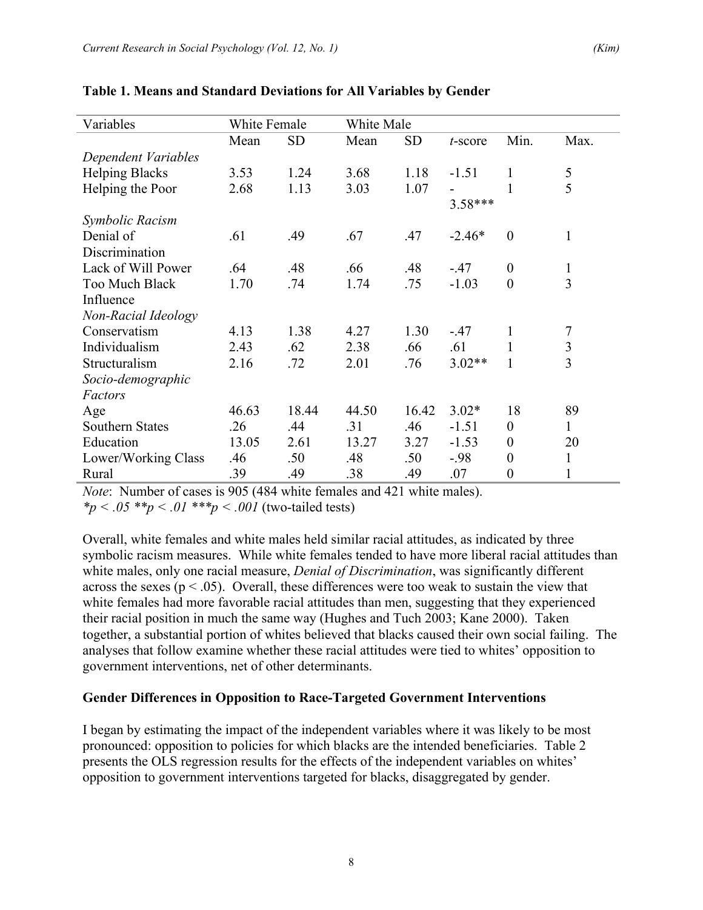| Variables              | White Female |           | White Male |           |            |                  |                |
|------------------------|--------------|-----------|------------|-----------|------------|------------------|----------------|
|                        | Mean         | <b>SD</b> | Mean       | <b>SD</b> | $t$ -score | Min.             | Max.           |
| Dependent Variables    |              |           |            |           |            |                  |                |
| <b>Helping Blacks</b>  | 3.53         | 1.24      | 3.68       | 1.18      | $-1.51$    | 1                | $\mathfrak s$  |
| Helping the Poor       | 2.68         | 1.13      | 3.03       | 1.07      |            | 1                | 5              |
|                        |              |           |            |           | $3.58***$  |                  |                |
| Symbolic Racism        |              |           |            |           |            |                  |                |
| Denial of              | .61          | .49       | .67        | .47       | $-2.46*$   | $\overline{0}$   | $\mathbf{1}$   |
| Discrimination         |              |           |            |           |            |                  |                |
| Lack of Will Power     | .64          | .48       | .66        | .48       | $-.47$     | $\boldsymbol{0}$ | $\mathbf{1}$   |
| Too Much Black         | 1.70         | .74       | 1.74       | .75       | $-1.03$    | $\overline{0}$   | 3              |
| Influence              |              |           |            |           |            |                  |                |
| Non-Racial Ideology    |              |           |            |           |            |                  |                |
| Conservatism           | 4.13         | 1.38      | 4.27       | 1.30      | $-47$      | 1                | 7              |
| Individualism          | 2.43         | .62       | 2.38       | .66       | .61        | 1                | $\mathfrak{Z}$ |
| Structuralism          | 2.16         | .72       | 2.01       | .76       | $3.02**$   | 1                | $\overline{3}$ |
| Socio-demographic      |              |           |            |           |            |                  |                |
| Factors                |              |           |            |           |            |                  |                |
| Age                    | 46.63        | 18.44     | 44.50      | 16.42     | $3.02*$    | 18               | 89             |
| <b>Southern States</b> | .26          | .44       | .31        | .46       | $-1.51$    | $\boldsymbol{0}$ | $\mathbf{1}$   |
| Education              | 13.05        | 2.61      | 13.27      | 3.27      | $-1.53$    | $\theta$         | 20             |
| Lower/Working Class    | .46          | .50       | .48        | .50       | $-.98$     | $\boldsymbol{0}$ | $\mathbf{1}$   |
| Rural                  | .39          | .49       | .38        | .49       | .07        | $\boldsymbol{0}$ | 1              |

#### **Table 1. Means and Standard Deviations for All Variables by Gender**

*Note*: Number of cases is 905 (484 white females and 421 white males).

 $*_p$  < .05  $*_p$  < .01  $**_p$  < .001 (two-tailed tests)

Overall, white females and white males held similar racial attitudes, as indicated by three symbolic racism measures. While white females tended to have more liberal racial attitudes than white males, only one racial measure, *Denial of Discrimination*, was significantly different across the sexes ( $p < .05$ ). Overall, these differences were too weak to sustain the view that white females had more favorable racial attitudes than men, suggesting that they experienced their racial position in much the same way (Hughes and Tuch 2003; Kane 2000). Taken together, a substantial portion of whites believed that blacks caused their own social failing. The analyses that follow examine whether these racial attitudes were tied to whites' opposition to government interventions, net of other determinants.

# **Gender Differences in Opposition to Race-Targeted Government Interventions**

I began by estimating the impact of the independent variables where it was likely to be most pronounced: opposition to policies for which blacks are the intended beneficiaries. Table 2 presents the OLS regression results for the effects of the independent variables on whites' opposition to government interventions targeted for blacks, disaggregated by gender.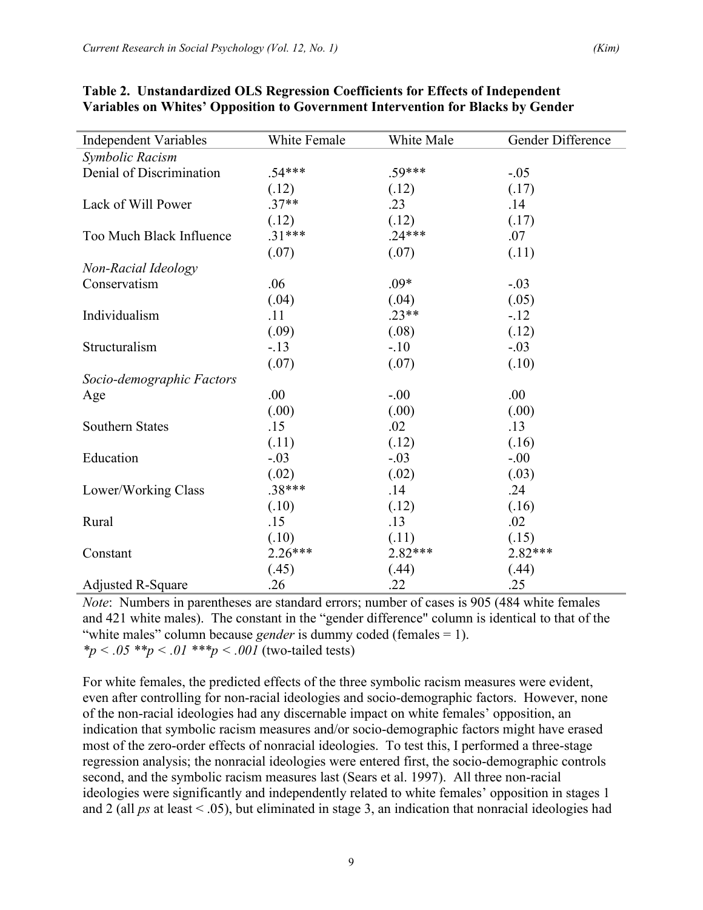| <b>Independent Variables</b> | White Female | White Male | Gender Difference |
|------------------------------|--------------|------------|-------------------|
| Symbolic Racism              |              |            |                   |
| Denial of Discrimination     | $.54***$     | .59***     | $-.05$            |
|                              | (.12)        | (.12)      | (.17)             |
| Lack of Will Power           | $.37**$      | .23        | .14               |
|                              | (.12)        | (.12)      | (.17)             |
| Too Much Black Influence     | $.31***$     | $.24***$   | .07               |
|                              | (.07)        | (.07)      | (.11)             |
| Non-Racial Ideology          |              |            |                   |
| Conservatism                 | .06          | $.09*$     | $-.03$            |
|                              | (.04)        | (.04)      | (.05)             |
| Individualism                | .11          | $.23**$    | $-12$             |
|                              | (.09)        | (.08)      | (.12)             |
| Structuralism                | $-.13$       | $-10$      | $-.03$            |
|                              | (.07)        | (.07)      | (.10)             |
| Socio-demographic Factors    |              |            |                   |
| Age                          | .00          | $-.00$     | .00               |
|                              | (.00)        | (.00)      | (.00)             |
| <b>Southern States</b>       | .15          | .02        | .13               |
|                              | (.11)        | (.12)      | (.16)             |
| Education                    | $-.03$       | $-.03$     | $-.00$            |
|                              | (.02)        | (.02)      | (.03)             |
| Lower/Working Class          | .38***       | .14        | .24               |
|                              | (.10)        | (.12)      | (.16)             |
| Rural                        | .15          | .13        | .02               |
|                              | (.10)        | (.11)      | (.15)             |
| Constant                     | 2.26***      | 2.82***    | 2.82***           |
|                              | (.45)        | (.44)      | (.44)             |
| <b>Adjusted R-Square</b>     | .26          | .22        | .25               |

## **Table 2. Unstandardized OLS Regression Coefficients for Effects of Independent Variables on Whites' Opposition to Government Intervention for Blacks by Gender**

*Note*: Numbers in parentheses are standard errors; number of cases is 905 (484 white females and 421 white males). The constant in the "gender difference" column is identical to that of the "white males" column because *gender* is dummy coded (females = 1). *\*p < .05 \*\*p < .01 \*\*\*p < .001* (two-tailed tests)

For white females, the predicted effects of the three symbolic racism measures were evident, even after controlling for non-racial ideologies and socio-demographic factors. However, none of the non-racial ideologies had any discernable impact on white females' opposition, an indication that symbolic racism measures and/or socio-demographic factors might have erased most of the zero-order effects of nonracial ideologies. To test this, I performed a three-stage regression analysis; the nonracial ideologies were entered first, the socio-demographic controls second, and the symbolic racism measures last (Sears et al. 1997). All three non-racial ideologies were significantly and independently related to white females' opposition in stages 1 and 2 (all *ps* at least < .05), but eliminated in stage 3, an indication that nonracial ideologies had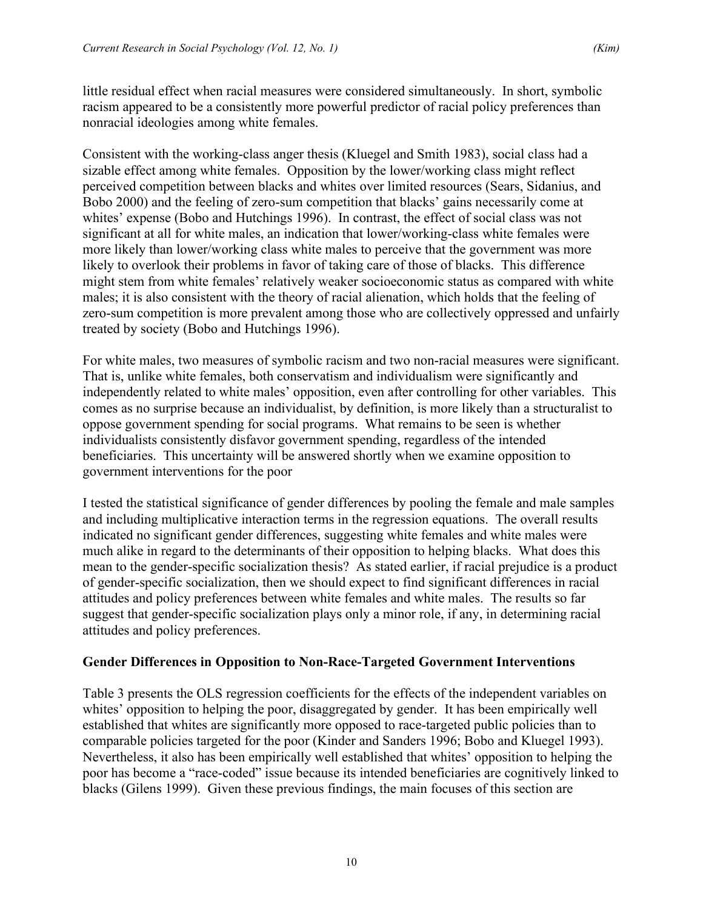little residual effect when racial measures were considered simultaneously. In short, symbolic racism appeared to be a consistently more powerful predictor of racial policy preferences than nonracial ideologies among white females.

Consistent with the working-class anger thesis (Kluegel and Smith 1983), social class had a sizable effect among white females. Opposition by the lower/working class might reflect perceived competition between blacks and whites over limited resources (Sears, Sidanius, and Bobo 2000) and the feeling of zero-sum competition that blacks' gains necessarily come at whites' expense (Bobo and Hutchings 1996). In contrast, the effect of social class was not significant at all for white males, an indication that lower/working-class white females were more likely than lower/working class white males to perceive that the government was more likely to overlook their problems in favor of taking care of those of blacks. This difference might stem from white females' relatively weaker socioeconomic status as compared with white males; it is also consistent with the theory of racial alienation, which holds that the feeling of zero-sum competition is more prevalent among those who are collectively oppressed and unfairly treated by society (Bobo and Hutchings 1996).

For white males, two measures of symbolic racism and two non-racial measures were significant. That is, unlike white females, both conservatism and individualism were significantly and independently related to white males' opposition, even after controlling for other variables. This comes as no surprise because an individualist, by definition, is more likely than a structuralist to oppose government spending for social programs. What remains to be seen is whether individualists consistently disfavor government spending, regardless of the intended beneficiaries. This uncertainty will be answered shortly when we examine opposition to government interventions for the poor

I tested the statistical significance of gender differences by pooling the female and male samples and including multiplicative interaction terms in the regression equations. The overall results indicated no significant gender differences, suggesting white females and white males were much alike in regard to the determinants of their opposition to helping blacks. What does this mean to the gender-specific socialization thesis? As stated earlier, if racial prejudice is a product of gender-specific socialization, then we should expect to find significant differences in racial attitudes and policy preferences between white females and white males. The results so far suggest that gender-specific socialization plays only a minor role, if any, in determining racial attitudes and policy preferences.

# **Gender Differences in Opposition to Non-Race-Targeted Government Interventions**

Table 3 presents the OLS regression coefficients for the effects of the independent variables on whites' opposition to helping the poor, disaggregated by gender. It has been empirically well established that whites are significantly more opposed to race-targeted public policies than to comparable policies targeted for the poor (Kinder and Sanders 1996; Bobo and Kluegel 1993). Nevertheless, it also has been empirically well established that whites' opposition to helping the poor has become a "race-coded" issue because its intended beneficiaries are cognitively linked to blacks (Gilens 1999). Given these previous findings, the main focuses of this section are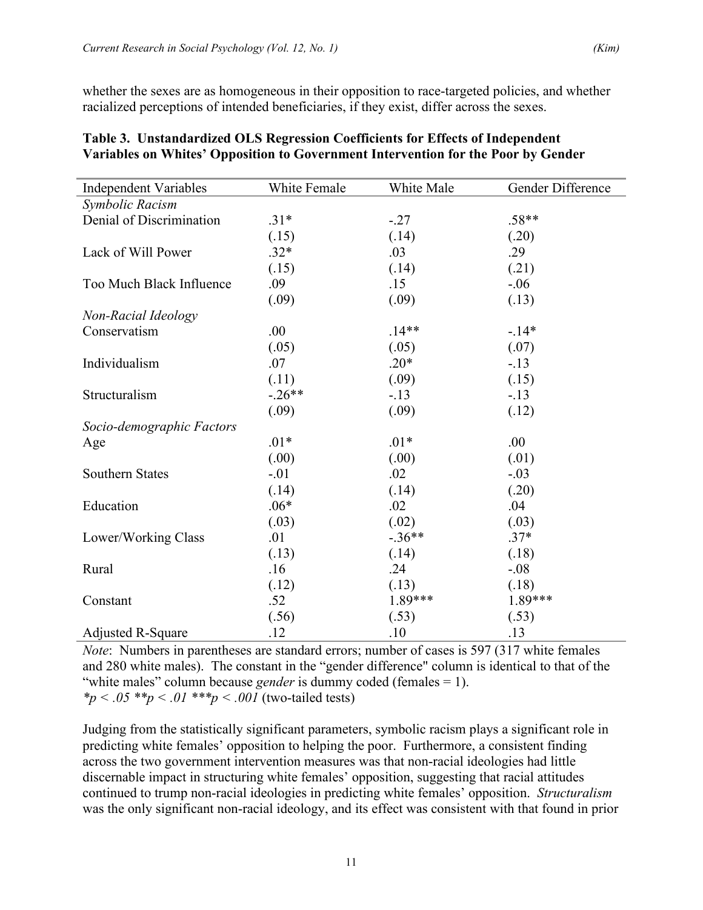whether the sexes are as homogeneous in their opposition to race-targeted policies, and whether racialized perceptions of intended beneficiaries, if they exist, differ across the sexes.

| <b>Independent Variables</b> | White Female | White Male | Gender Difference |
|------------------------------|--------------|------------|-------------------|
| Symbolic Racism              |              |            |                   |
| Denial of Discrimination     | $.31*$       | $-.27$     | $.58**$           |
|                              | (.15)        | (.14)      | (.20)             |
| Lack of Will Power           | $.32*$       | .03        | .29               |
|                              | (.15)        | (.14)      | (.21)             |
| Too Much Black Influence     | .09          | .15        | $-.06$            |
|                              | (.09)        | (.09)      | (.13)             |
| Non-Racial Ideology          |              |            |                   |
| Conservatism                 | .00          | $.14**$    | $-14*$            |
|                              | (.05)        | (.05)      | (.07)             |
| Individualism                | .07          | $.20*$     | $-13$             |
|                              | (.11)        | (.09)      | (.15)             |
| Structuralism                | $-.26**$     | $-.13$     | $-13$             |
|                              | (.09)        | (.09)      | (.12)             |
| Socio-demographic Factors    |              |            |                   |
| Age                          | $.01*$       | $.01*$     | .00               |
|                              | (.00)        | (.00)      | (.01)             |
| <b>Southern States</b>       | $-.01$       | .02        | $-.03$            |
|                              | (.14)        | (.14)      | (.20)             |
| Education                    | $.06*$       | .02        | .04               |
|                              | (.03)        | (.02)      | (.03)             |
| Lower/Working Class          | .01          | $-.36**$   | $.37*$            |
|                              | (.13)        | (.14)      | (.18)             |
| Rural                        | .16          | .24        | $-.08$            |
|                              | (.12)        | (.13)      | (.18)             |
| Constant                     | .52          | 1.89***    | 1.89***           |
|                              | (.56)        | (.53)      | (.53)             |
| <b>Adjusted R-Square</b>     | .12          | .10        | .13               |

### **Table 3. Unstandardized OLS Regression Coefficients for Effects of Independent Variables on Whites' Opposition to Government Intervention for the Poor by Gender**

*Note*: Numbers in parentheses are standard errors; number of cases is 597 (317 white females and 280 white males). The constant in the "gender difference" column is identical to that of the "white males" column because *gender* is dummy coded (females = 1). \*p < .05 \*\*p < .01 \*\*\*p < .001 (two-tailed tests)

Judging from the statistically significant parameters, symbolic racism plays a significant role in predicting white females' opposition to helping the poor. Furthermore, a consistent finding across the two government intervention measures was that non-racial ideologies had little discernable impact in structuring white females' opposition, suggesting that racial attitudes continued to trump non-racial ideologies in predicting white females' opposition. *Structuralism* was the only significant non-racial ideology, and its effect was consistent with that found in prior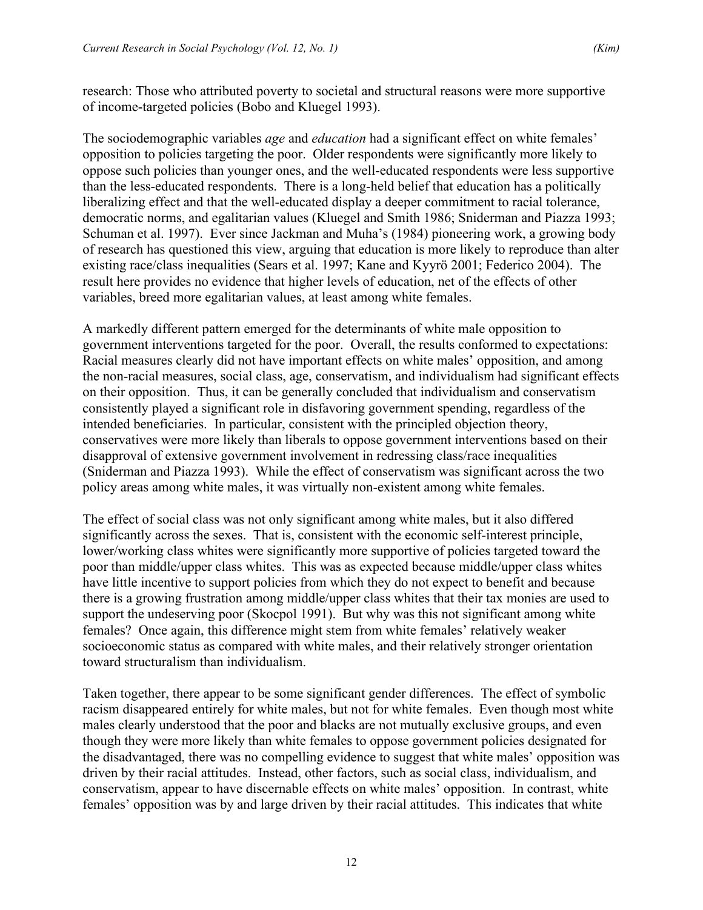research: Those who attributed poverty to societal and structural reasons were more supportive of income-targeted policies (Bobo and Kluegel 1993).

The sociodemographic variables *age* and *education* had a significant effect on white females' opposition to policies targeting the poor. Older respondents were significantly more likely to oppose such policies than younger ones, and the well-educated respondents were less supportive than the less-educated respondents. There is a long-held belief that education has a politically liberalizing effect and that the well-educated display a deeper commitment to racial tolerance, democratic norms, and egalitarian values (Kluegel and Smith 1986; Sniderman and Piazza 1993; Schuman et al. 1997). Ever since Jackman and Muha's (1984) pioneering work, a growing body of research has questioned this view, arguing that education is more likely to reproduce than alter existing race/class inequalities (Sears et al. 1997; Kane and Kyyrö 2001; Federico 2004). The result here provides no evidence that higher levels of education, net of the effects of other variables, breed more egalitarian values, at least among white females.

A markedly different pattern emerged for the determinants of white male opposition to government interventions targeted for the poor. Overall, the results conformed to expectations: Racial measures clearly did not have important effects on white males' opposition, and among the non-racial measures, social class, age, conservatism, and individualism had significant effects on their opposition. Thus, it can be generally concluded that individualism and conservatism consistently played a significant role in disfavoring government spending, regardless of the intended beneficiaries. In particular, consistent with the principled objection theory, conservatives were more likely than liberals to oppose government interventions based on their disapproval of extensive government involvement in redressing class/race inequalities (Sniderman and Piazza 1993). While the effect of conservatism was significant across the two policy areas among white males, it was virtually non-existent among white females.

The effect of social class was not only significant among white males, but it also differed significantly across the sexes. That is, consistent with the economic self-interest principle, lower/working class whites were significantly more supportive of policies targeted toward the poor than middle/upper class whites. This was as expected because middle/upper class whites have little incentive to support policies from which they do not expect to benefit and because there is a growing frustration among middle/upper class whites that their tax monies are used to support the undeserving poor (Skocpol 1991). But why was this not significant among white females? Once again, this difference might stem from white females' relatively weaker socioeconomic status as compared with white males, and their relatively stronger orientation toward structuralism than individualism.

Taken together, there appear to be some significant gender differences. The effect of symbolic racism disappeared entirely for white males, but not for white females. Even though most white males clearly understood that the poor and blacks are not mutually exclusive groups, and even though they were more likely than white females to oppose government policies designated for the disadvantaged, there was no compelling evidence to suggest that white males' opposition was driven by their racial attitudes. Instead, other factors, such as social class, individualism, and conservatism, appear to have discernable effects on white males' opposition. In contrast, white females' opposition was by and large driven by their racial attitudes. This indicates that white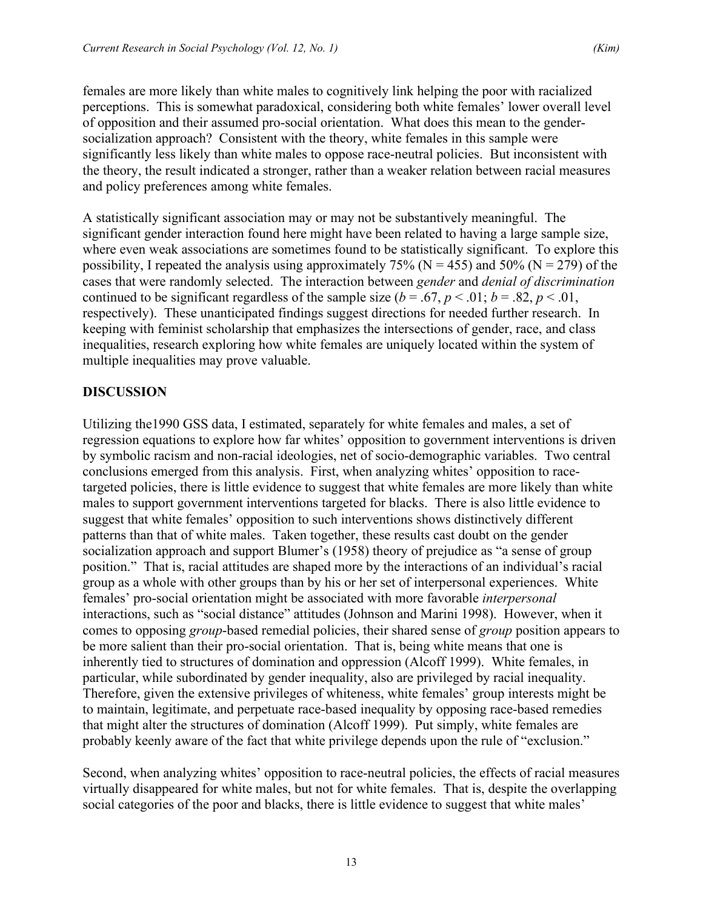females are more likely than white males to cognitively link helping the poor with racialized perceptions. This is somewhat paradoxical, considering both white females' lower overall level of opposition and their assumed pro-social orientation. What does this mean to the gendersocialization approach? Consistent with the theory, white females in this sample were significantly less likely than white males to oppose race-neutral policies. But inconsistent with the theory, the result indicated a stronger, rather than a weaker relation between racial measures and policy preferences among white females.

A statistically significant association may or may not be substantively meaningful. The significant gender interaction found here might have been related to having a large sample size, where even weak associations are sometimes found to be statistically significant. To explore this possibility, I repeated the analysis using approximately  $75\%$  (N = 455) and  $50\%$  (N = 279) of the cases that were randomly selected. The interaction between *gender* and *denial of discrimination*  continued to be significant regardless of the sample size  $(b = .67, p < .01; b = .82, p < .01$ , respectively). These unanticipated findings suggest directions for needed further research. In keeping with feminist scholarship that emphasizes the intersections of gender, race, and class inequalities, research exploring how white females are uniquely located within the system of multiple inequalities may prove valuable.

## **DISCUSSION**

Utilizing the1990 GSS data, I estimated, separately for white females and males, a set of regression equations to explore how far whites' opposition to government interventions is driven by symbolic racism and non-racial ideologies, net of socio-demographic variables. Two central conclusions emerged from this analysis. First, when analyzing whites' opposition to racetargeted policies, there is little evidence to suggest that white females are more likely than white males to support government interventions targeted for blacks. There is also little evidence to suggest that white females' opposition to such interventions shows distinctively different patterns than that of white males. Taken together, these results cast doubt on the gender socialization approach and support Blumer's (1958) theory of prejudice as "a sense of group position." That is, racial attitudes are shaped more by the interactions of an individual's racial group as a whole with other groups than by his or her set of interpersonal experiences. White females' pro-social orientation might be associated with more favorable *interpersonal* interactions, such as "social distance" attitudes (Johnson and Marini 1998). However, when it comes to opposing *group*-based remedial policies, their shared sense of *group* position appears to be more salient than their pro-social orientation. That is, being white means that one is inherently tied to structures of domination and oppression (Alcoff 1999). White females, in particular, while subordinated by gender inequality, also are privileged by racial inequality. Therefore, given the extensive privileges of whiteness, white females' group interests might be to maintain, legitimate, and perpetuate race-based inequality by opposing race-based remedies that might alter the structures of domination (Alcoff 1999). Put simply, white females are probably keenly aware of the fact that white privilege depends upon the rule of "exclusion."

Second, when analyzing whites' opposition to race-neutral policies, the effects of racial measures virtually disappeared for white males, but not for white females. That is, despite the overlapping social categories of the poor and blacks, there is little evidence to suggest that white males'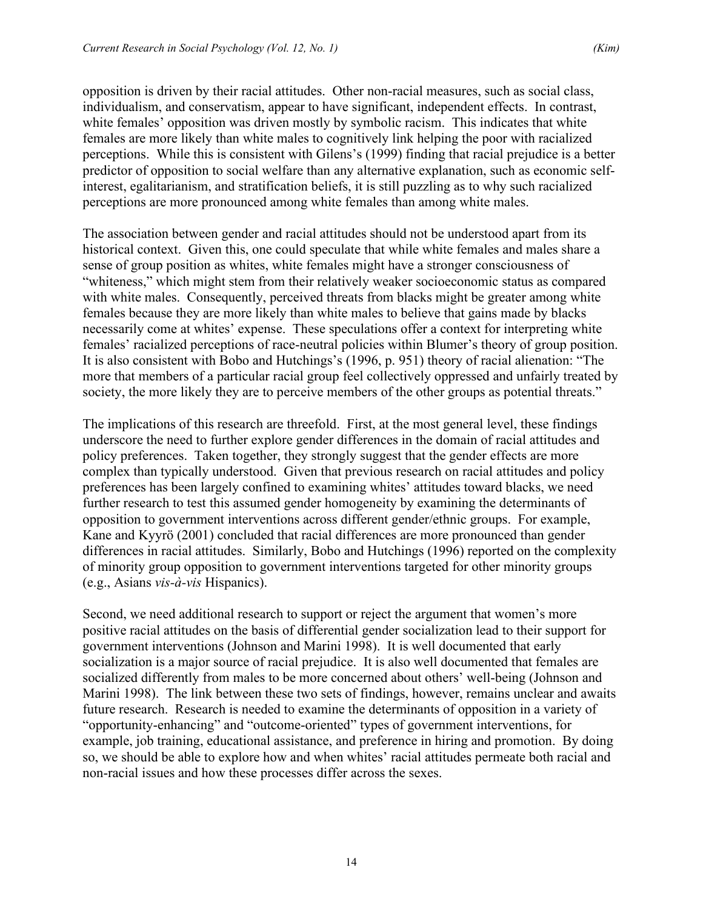opposition is driven by their racial attitudes. Other non-racial measures, such as social class, individualism, and conservatism, appear to have significant, independent effects. In contrast, white females' opposition was driven mostly by symbolic racism. This indicates that white females are more likely than white males to cognitively link helping the poor with racialized perceptions. While this is consistent with Gilens's (1999) finding that racial prejudice is a better predictor of opposition to social welfare than any alternative explanation, such as economic selfinterest, egalitarianism, and stratification beliefs, it is still puzzling as to why such racialized perceptions are more pronounced among white females than among white males.

The association between gender and racial attitudes should not be understood apart from its historical context. Given this, one could speculate that while white females and males share a sense of group position as whites, white females might have a stronger consciousness of "whiteness," which might stem from their relatively weaker socioeconomic status as compared with white males. Consequently, perceived threats from blacks might be greater among white females because they are more likely than white males to believe that gains made by blacks necessarily come at whites' expense. These speculations offer a context for interpreting white females' racialized perceptions of race-neutral policies within Blumer's theory of group position. It is also consistent with Bobo and Hutchings's (1996, p. 951) theory of racial alienation: "The more that members of a particular racial group feel collectively oppressed and unfairly treated by society, the more likely they are to perceive members of the other groups as potential threats."

The implications of this research are threefold. First, at the most general level, these findings underscore the need to further explore gender differences in the domain of racial attitudes and policy preferences. Taken together, they strongly suggest that the gender effects are more complex than typically understood. Given that previous research on racial attitudes and policy preferences has been largely confined to examining whites' attitudes toward blacks, we need further research to test this assumed gender homogeneity by examining the determinants of opposition to government interventions across different gender/ethnic groups. For example, Kane and Kyyrö (2001) concluded that racial differences are more pronounced than gender differences in racial attitudes. Similarly, Bobo and Hutchings (1996) reported on the complexity of minority group opposition to government interventions targeted for other minority groups (e.g., Asians *vis-à-vis* Hispanics).

Second, we need additional research to support or reject the argument that women's more positive racial attitudes on the basis of differential gender socialization lead to their support for government interventions (Johnson and Marini 1998). It is well documented that early socialization is a major source of racial prejudice. It is also well documented that females are socialized differently from males to be more concerned about others' well-being (Johnson and Marini 1998). The link between these two sets of findings, however, remains unclear and awaits future research. Research is needed to examine the determinants of opposition in a variety of "opportunity-enhancing" and "outcome-oriented" types of government interventions, for example, job training, educational assistance, and preference in hiring and promotion. By doing so, we should be able to explore how and when whites' racial attitudes permeate both racial and non-racial issues and how these processes differ across the sexes.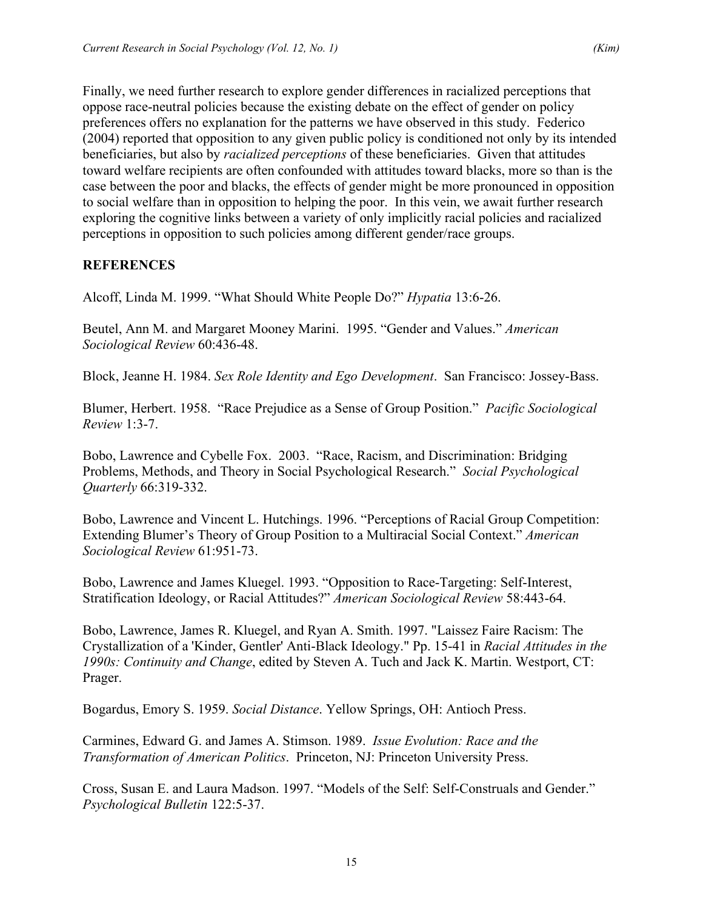Finally, we need further research to explore gender differences in racialized perceptions that oppose race-neutral policies because the existing debate on the effect of gender on policy preferences offers no explanation for the patterns we have observed in this study. Federico (2004) reported that opposition to any given public policy is conditioned not only by its intended beneficiaries, but also by *racialized perceptions* of these beneficiaries. Given that attitudes toward welfare recipients are often confounded with attitudes toward blacks, more so than is the case between the poor and blacks, the effects of gender might be more pronounced in opposition to social welfare than in opposition to helping the poor. In this vein, we await further research exploring the cognitive links between a variety of only implicitly racial policies and racialized perceptions in opposition to such policies among different gender/race groups.

# **REFERENCES**

Alcoff, Linda M. 1999. "What Should White People Do?" *Hypatia* 13:6-26.

Beutel, Ann M. and Margaret Mooney Marini. 1995. "Gender and Values." *American Sociological Review* 60:436-48.

Block, Jeanne H. 1984. *Sex Role Identity and Ego Development*. San Francisco: Jossey-Bass.

Blumer, Herbert. 1958. "Race Prejudice as a Sense of Group Position." *Pacific Sociological Review* 1:3-7.

Bobo, Lawrence and Cybelle Fox. 2003. "Race, Racism, and Discrimination: Bridging Problems, Methods, and Theory in Social Psychological Research." *Social Psychological Quarterly* 66:319-332.

Bobo, Lawrence and Vincent L. Hutchings. 1996. "Perceptions of Racial Group Competition: Extending Blumer's Theory of Group Position to a Multiracial Social Context." *American Sociological Review* 61:951-73.

Bobo, Lawrence and James Kluegel. 1993. "Opposition to Race-Targeting: Self-Interest, Stratification Ideology, or Racial Attitudes?" *American Sociological Review* 58:443-64.

Bobo, Lawrence, James R. Kluegel, and Ryan A. Smith. 1997. "Laissez Faire Racism: The Crystallization of a 'Kinder, Gentler' Anti-Black Ideology." Pp. 15-41 in *Racial Attitudes in the 1990s: Continuity and Change*, edited by Steven A. Tuch and Jack K. Martin. Westport, CT: Prager.

Bogardus, Emory S. 1959. *Social Distance*. Yellow Springs, OH: Antioch Press.

Carmines, Edward G. and James A. Stimson. 1989. *Issue Evolution: Race and the Transformation of American Politics*. Princeton, NJ: Princeton University Press.

Cross, Susan E. and Laura Madson. 1997. "Models of the Self: Self-Construals and Gender." *Psychological Bulletin* 122:5-37.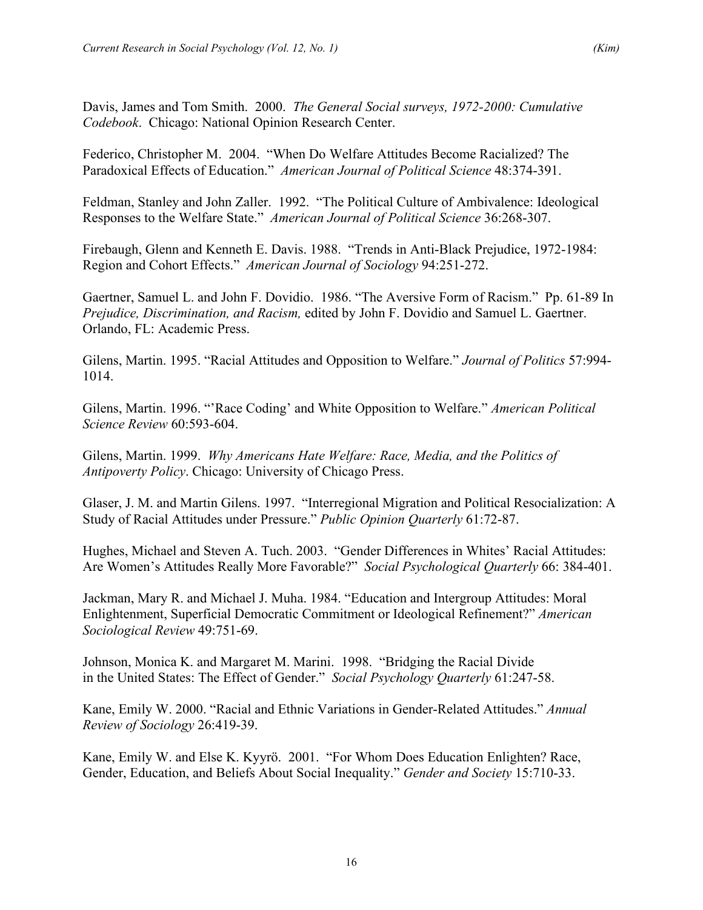Davis, James and Tom Smith. 2000. *The General Social surveys, 1972-2000: Cumulative Codebook*. Chicago: National Opinion Research Center.

Federico, Christopher M. 2004. "When Do Welfare Attitudes Become Racialized? The Paradoxical Effects of Education." *American Journal of Political Science* 48:374-391.

Feldman, Stanley and John Zaller. 1992. "The Political Culture of Ambivalence: Ideological Responses to the Welfare State." *American Journal of Political Science* 36:268-307.

Firebaugh, Glenn and Kenneth E. Davis. 1988. "Trends in Anti-Black Prejudice, 1972-1984: Region and Cohort Effects." *American Journal of Sociology* 94:251-272.

Gaertner, Samuel L. and John F. Dovidio. 1986. "The Aversive Form of Racism." Pp. 61-89 In *Prejudice, Discrimination, and Racism,* edited by John F. Dovidio and Samuel L. Gaertner. Orlando, FL: Academic Press.

Gilens, Martin. 1995. "Racial Attitudes and Opposition to Welfare." *Journal of Politics* 57:994- 1014.

Gilens, Martin. 1996. "'Race Coding' and White Opposition to Welfare." *American Political Science Review* 60:593-604.

Gilens, Martin. 1999. *Why Americans Hate Welfare: Race, Media, and the Politics of Antipoverty Policy*. Chicago: University of Chicago Press.

Glaser, J. M. and Martin Gilens. 1997. "Interregional Migration and Political Resocialization: A Study of Racial Attitudes under Pressure." *Public Opinion Quarterly* 61:72-87.

Hughes, Michael and Steven A. Tuch. 2003. "Gender Differences in Whites' Racial Attitudes: Are Women's Attitudes Really More Favorable?" *Social Psychological Quarterly* 66: 384-401.

Jackman, Mary R. and Michael J. Muha. 1984. "Education and Intergroup Attitudes: Moral Enlightenment, Superficial Democratic Commitment or Ideological Refinement?" *American Sociological Review* 49:751-69.

Johnson, Monica K. and Margaret M. Marini. 1998. "Bridging the Racial Divide in the United States: The Effect of Gender." *Social Psychology Quarterly* 61:247-58.

Kane, Emily W. 2000. "Racial and Ethnic Variations in Gender-Related Attitudes." *Annual Review of Sociology* 26:419-39.

Kane, Emily W. and Else K. Kyyrö. 2001. "For Whom Does Education Enlighten? Race, Gender, Education, and Beliefs About Social Inequality." *Gender and Society* 15:710-33.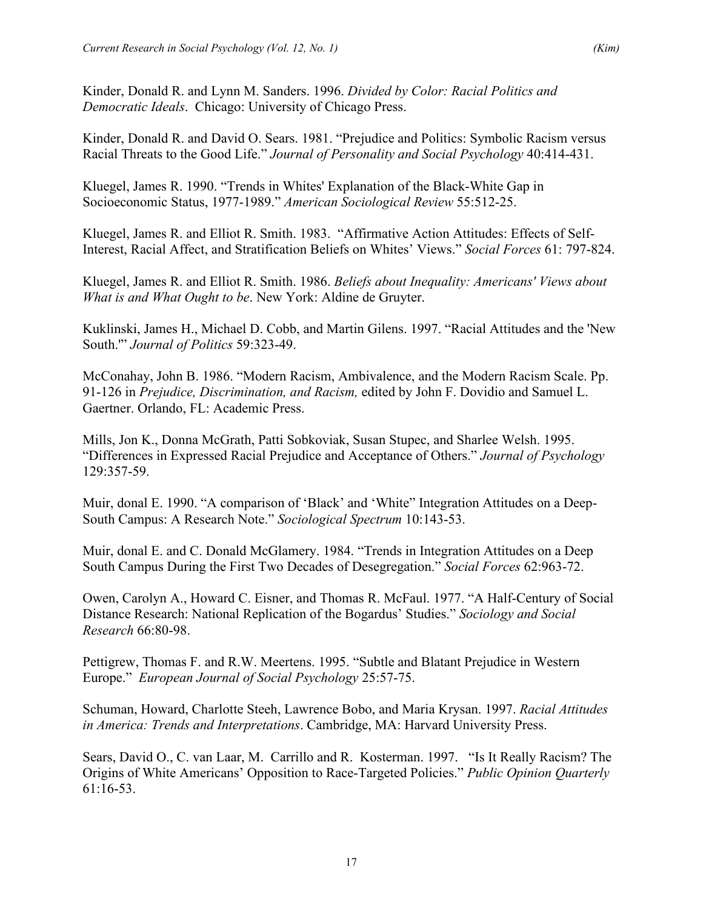Kinder, Donald R. and Lynn M. Sanders. 1996. *Divided by Color: Racial Politics and Democratic Ideals*. Chicago: University of Chicago Press.

Kinder, Donald R. and David O. Sears. 1981. "Prejudice and Politics: Symbolic Racism versus Racial Threats to the Good Life." *Journal of Personality and Social Psychology* 40:414-431.

Kluegel, James R. 1990. "Trends in Whites' Explanation of the Black-White Gap in Socioeconomic Status, 1977-1989." *American Sociological Review* 55:512-25.

Kluegel, James R. and Elliot R. Smith. 1983. "Affirmative Action Attitudes: Effects of Self-Interest, Racial Affect, and Stratification Beliefs on Whites' Views." *Social Forces* 61: 797-824.

Kluegel, James R. and Elliot R. Smith. 1986. *Beliefs about Inequality: Americans' Views about What is and What Ought to be*. New York: Aldine de Gruyter.

Kuklinski, James H., Michael D. Cobb, and Martin Gilens. 1997. "Racial Attitudes and the 'New South.'" *Journal of Politics* 59:323-49.

McConahay, John B. 1986. "Modern Racism, Ambivalence, and the Modern Racism Scale. Pp. 91-126 in *Prejudice, Discrimination, and Racism,* edited by John F. Dovidio and Samuel L. Gaertner. Orlando, FL: Academic Press.

Mills, Jon K., Donna McGrath, Patti Sobkoviak, Susan Stupec, and Sharlee Welsh. 1995. "Differences in Expressed Racial Prejudice and Acceptance of Others." *Journal of Psychology* 129:357-59.

Muir, donal E. 1990. "A comparison of 'Black' and 'White" Integration Attitudes on a Deep-South Campus: A Research Note." *Sociological Spectrum* 10:143-53.

Muir, donal E. and C. Donald McGlamery. 1984. "Trends in Integration Attitudes on a Deep South Campus During the First Two Decades of Desegregation." *Social Forces* 62:963-72.

Owen, Carolyn A., Howard C. Eisner, and Thomas R. McFaul. 1977. "A Half-Century of Social Distance Research: National Replication of the Bogardus' Studies." *Sociology and Social Research* 66:80-98.

Pettigrew, Thomas F. and R.W. Meertens. 1995. "Subtle and Blatant Prejudice in Western Europe." *European Journal of Social Psychology* 25:57-75.

Schuman, Howard, Charlotte Steeh, Lawrence Bobo, and Maria Krysan. 1997. *Racial Attitudes in America: Trends and Interpretations*. Cambridge, MA: Harvard University Press.

Sears, David O., C. van Laar, M. Carrillo and R. Kosterman. 1997. "Is It Really Racism? The Origins of White Americans' Opposition to Race-Targeted Policies." *Public Opinion Quarterly* 61:16-53.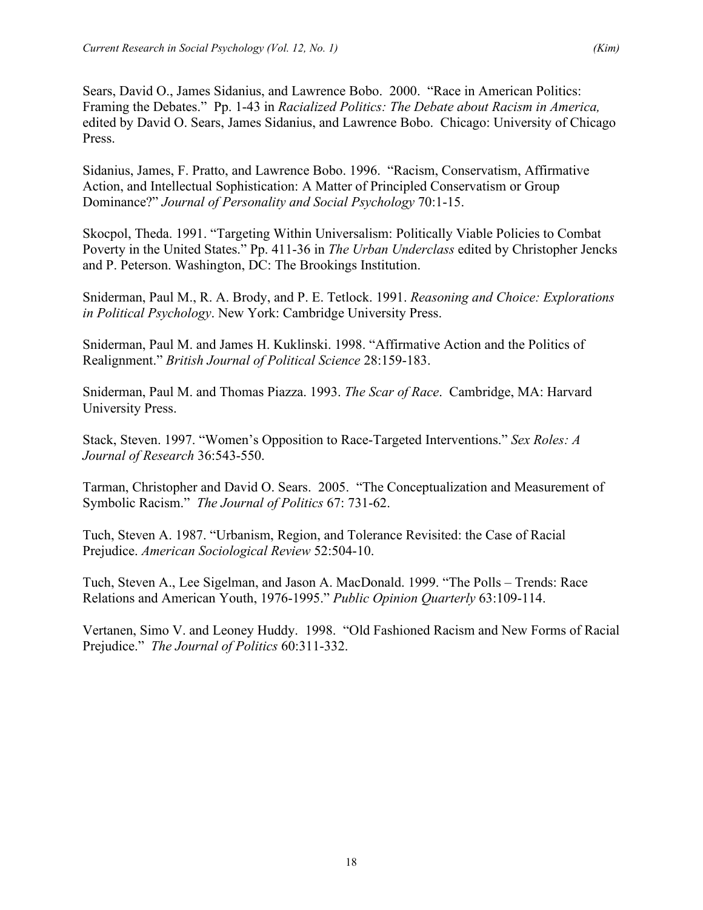Sears, David O., James Sidanius, and Lawrence Bobo. 2000. "Race in American Politics: Framing the Debates." Pp. 1-43 in *Racialized Politics: The Debate about Racism in America,* edited by David O. Sears, James Sidanius, and Lawrence Bobo. Chicago: University of Chicago Press.

Sidanius, James, F. Pratto, and Lawrence Bobo. 1996. "Racism, Conservatism, Affirmative Action, and Intellectual Sophistication: A Matter of Principled Conservatism or Group Dominance?" *Journal of Personality and Social Psychology* 70:1-15.

Skocpol, Theda. 1991. "Targeting Within Universalism: Politically Viable Policies to Combat Poverty in the United States." Pp. 411-36 in *The Urban Underclass* edited by Christopher Jencks and P. Peterson. Washington, DC: The Brookings Institution.

Sniderman, Paul M., R. A. Brody, and P. E. Tetlock. 1991. *Reasoning and Choice: Explorations in Political Psychology*. New York: Cambridge University Press.

Sniderman, Paul M. and James H. Kuklinski. 1998. "Affirmative Action and the Politics of Realignment." *British Journal of Political Science* 28:159-183.

Sniderman, Paul M. and Thomas Piazza. 1993. *The Scar of Race*. Cambridge, MA: Harvard University Press.

Stack, Steven. 1997. "Women's Opposition to Race-Targeted Interventions." *Sex Roles: A Journal of Research* 36:543-550.

Tarman, Christopher and David O. Sears. 2005. "The Conceptualization and Measurement of Symbolic Racism." *The Journal of Politics* 67: 731-62.

Tuch, Steven A. 1987. "Urbanism, Region, and Tolerance Revisited: the Case of Racial Prejudice. *American Sociological Review* 52:504-10.

Tuch, Steven A., Lee Sigelman, and Jason A. MacDonald. 1999. "The Polls – Trends: Race Relations and American Youth, 1976-1995." *Public Opinion Quarterly* 63:109-114.

Vertanen, Simo V. and Leoney Huddy. 1998. "Old Fashioned Racism and New Forms of Racial Prejudice." *The Journal of Politics* 60:311-332.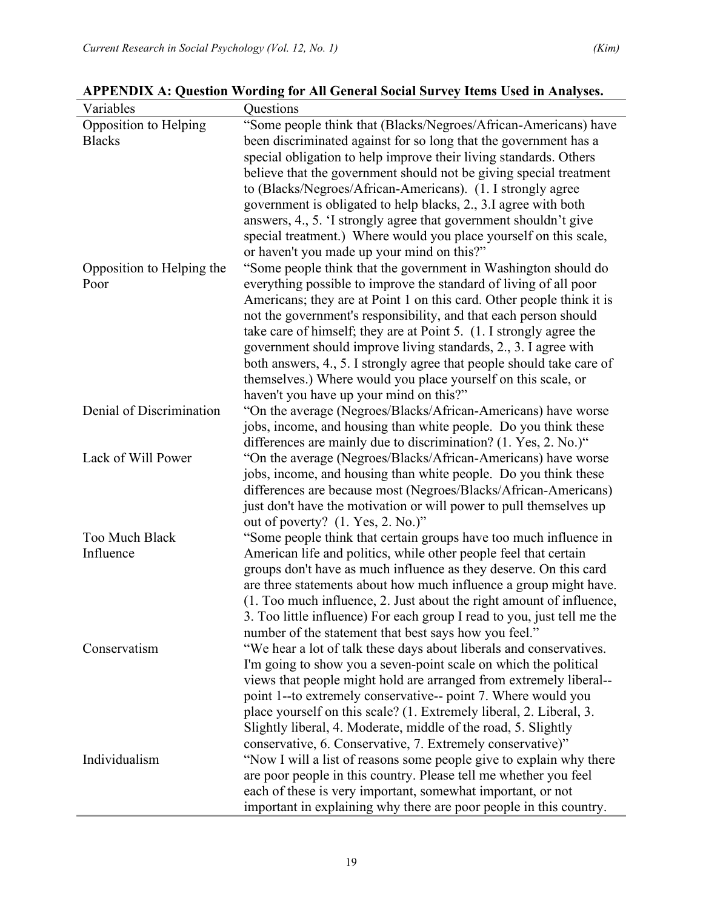| Variables                 | Questions                                                                                                                        |
|---------------------------|----------------------------------------------------------------------------------------------------------------------------------|
| Opposition to Helping     | "Some people think that (Blacks/Negroes/African-Americans) have                                                                  |
| <b>Blacks</b>             | been discriminated against for so long that the government has a                                                                 |
|                           | special obligation to help improve their living standards. Others                                                                |
|                           | believe that the government should not be giving special treatment                                                               |
|                           | to (Blacks/Negroes/African-Americans). (1. I strongly agree                                                                      |
|                           | government is obligated to help blacks, 2., 3.I agree with both                                                                  |
|                           | answers, 4., 5. 'I strongly agree that government shouldn't give                                                                 |
|                           | special treatment.) Where would you place yourself on this scale,                                                                |
|                           | or haven't you made up your mind on this?"                                                                                       |
| Opposition to Helping the | "Some people think that the government in Washington should do                                                                   |
| Poor                      | everything possible to improve the standard of living of all poor                                                                |
|                           | Americans; they are at Point 1 on this card. Other people think it is                                                            |
|                           | not the government's responsibility, and that each person should                                                                 |
|                           | take care of himself; they are at Point 5. (1. I strongly agree the                                                              |
|                           | government should improve living standards, 2., 3. I agree with                                                                  |
|                           | both answers, 4., 5. I strongly agree that people should take care of                                                            |
|                           | themselves.) Where would you place yourself on this scale, or                                                                    |
|                           | haven't you have up your mind on this?"                                                                                          |
| Denial of Discrimination  | "On the average (Negroes/Blacks/African-Americans) have worse                                                                    |
|                           | jobs, income, and housing than white people. Do you think these                                                                  |
|                           | differences are mainly due to discrimination? (1. Yes, 2. No.)"                                                                  |
| Lack of Will Power        | "On the average (Negroes/Blacks/African-Americans) have worse                                                                    |
|                           | jobs, income, and housing than white people. Do you think these                                                                  |
|                           | differences are because most (Negroes/Blacks/African-Americans)                                                                  |
|                           | just don't have the motivation or will power to pull themselves up                                                               |
|                           | out of poverty? (1. Yes, 2. No.)"                                                                                                |
| Too Much Black            | "Some people think that certain groups have too much influence in                                                                |
| Influence                 | American life and politics, while other people feel that certain                                                                 |
|                           | groups don't have as much influence as they deserve. On this card                                                                |
|                           | are three statements about how much influence a group might have.                                                                |
|                           | (1. Too much influence, 2. Just about the right amount of influence,                                                             |
|                           | 3. Too little influence) For each group I read to you, just tell me the<br>number of the statement that best says how you feel." |
| Conservatism              | "We hear a lot of talk these days about liberals and conservatives.                                                              |
|                           | I'm going to show you a seven-point scale on which the political                                                                 |
|                           | views that people might hold are arranged from extremely liberal--                                                               |
|                           | point 1--to extremely conservative-- point 7. Where would you                                                                    |
|                           | place yourself on this scale? (1. Extremely liberal, 2. Liberal, 3.                                                              |
|                           | Slightly liberal, 4. Moderate, middle of the road, 5. Slightly                                                                   |
|                           | conservative, 6. Conservative, 7. Extremely conservative)"                                                                       |
| Individualism             | "Now I will a list of reasons some people give to explain why there                                                              |
|                           | are poor people in this country. Please tell me whether you feel                                                                 |
|                           | each of these is very important, somewhat important, or not                                                                      |
|                           | important in explaining why there are poor people in this country.                                                               |

**APPENDIX A: Question Wording for All General Social Survey Items Used in Analyses.**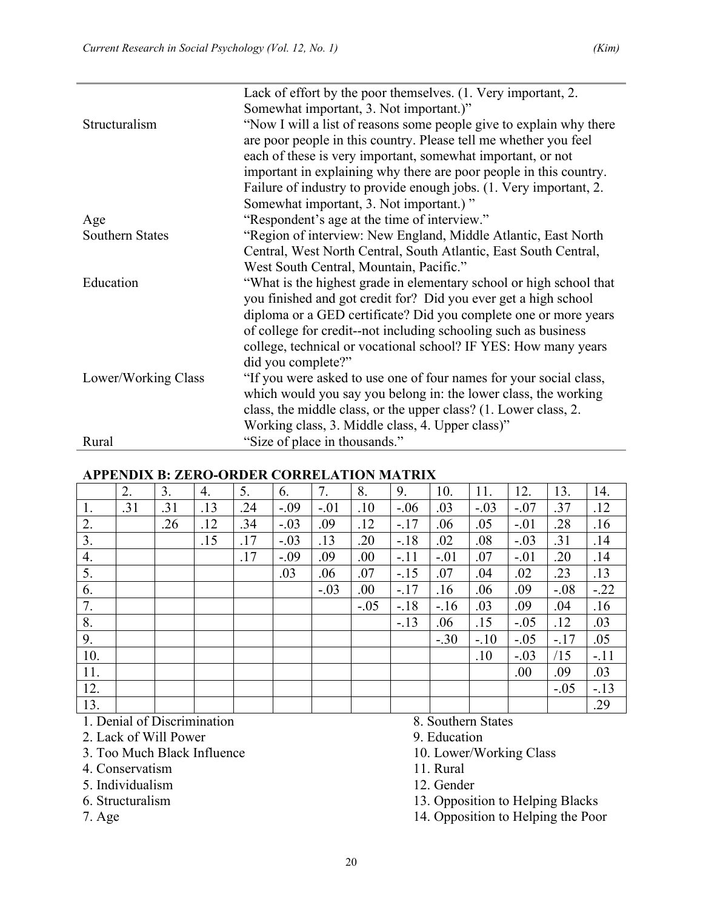|                        | Lack of effort by the poor themselves. (1. Very important, 2.       |  |  |  |  |  |  |
|------------------------|---------------------------------------------------------------------|--|--|--|--|--|--|
|                        | Somewhat important, 3. Not important.)"                             |  |  |  |  |  |  |
| Structuralism          | "Now I will a list of reasons some people give to explain why there |  |  |  |  |  |  |
|                        | are poor people in this country. Please tell me whether you feel    |  |  |  |  |  |  |
|                        | each of these is very important, somewhat important, or not         |  |  |  |  |  |  |
|                        | important in explaining why there are poor people in this country.  |  |  |  |  |  |  |
|                        | Failure of industry to provide enough jobs. (1. Very important, 2.  |  |  |  |  |  |  |
|                        | Somewhat important, 3. Not important.)"                             |  |  |  |  |  |  |
| Age                    | "Respondent's age at the time of interview."                        |  |  |  |  |  |  |
| <b>Southern States</b> | "Region of interview: New England, Middle Atlantic, East North      |  |  |  |  |  |  |
|                        | Central, West North Central, South Atlantic, East South Central,    |  |  |  |  |  |  |
|                        | West South Central, Mountain, Pacific."                             |  |  |  |  |  |  |
| Education              | "What is the highest grade in elementary school or high school that |  |  |  |  |  |  |
|                        | you finished and got credit for? Did you ever get a high school     |  |  |  |  |  |  |
|                        | diploma or a GED certificate? Did you complete one or more years    |  |  |  |  |  |  |
|                        | of college for credit--not including schooling such as business     |  |  |  |  |  |  |
|                        | college, technical or vocational school? IF YES: How many years     |  |  |  |  |  |  |
|                        | did you complete?"                                                  |  |  |  |  |  |  |
| Lower/Working Class    | "If you were asked to use one of four names for your social class,  |  |  |  |  |  |  |
|                        | which would you say you belong in: the lower class, the working     |  |  |  |  |  |  |
|                        | class, the middle class, or the upper class? (1. Lower class, 2.    |  |  |  |  |  |  |
|                        | Working class, 3. Middle class, 4. Upper class)"                    |  |  |  |  |  |  |
| Rural                  | "Size of place in thousands."                                       |  |  |  |  |  |  |

#### **APPENDIX B: ZERO-ORDER CORRELATION MATRIX**

|     | 2.  | 3.  | 4.  | 5.  | 6.     | 7.     | 8.     | 9.     | 10.    | 11.    | 12.    | 13.    | 14.    |
|-----|-----|-----|-----|-----|--------|--------|--------|--------|--------|--------|--------|--------|--------|
| 1.  | .31 | .31 | .13 | .24 | $-.09$ | $-.01$ | .10    | $-.06$ | .03    | $-.03$ | $-.07$ | .37    | .12    |
| 2.  |     | .26 | .12 | .34 | $-.03$ | .09    | .12    | $-.17$ | .06    | .05    | $-.01$ | .28    | .16    |
| 3.  |     |     | .15 | .17 | $-.03$ | .13    | .20    | $-18$  | .02    | .08    | $-.03$ | .31    | .14    |
| 4.  |     |     |     | .17 | $-.09$ | .09    | .00    | $-.11$ | $-.01$ | .07    | $-.01$ | .20    | .14    |
| 5.  |     |     |     |     | .03    | .06    | .07    | $-15$  | .07    | .04    | .02    | .23    | .13    |
| 6.  |     |     |     |     |        | $-.03$ | .00    | $-.17$ | .16    | .06    | .09    | $-.08$ | $-.22$ |
| 7.  |     |     |     |     |        |        | $-.05$ | $-18$  | $-16$  | .03    | .09    | .04    | .16    |
| 8.  |     |     |     |     |        |        |        | $-13$  | .06    | .15    | $-.05$ | .12    | .03    |
| 9.  |     |     |     |     |        |        |        |        | $-.30$ | $-.10$ | $-.05$ | $-.17$ | .05    |
| 10. |     |     |     |     |        |        |        |        |        | .10    | $-.03$ | /15    | $-.11$ |
| 11. |     |     |     |     |        |        |        |        |        |        | .00.   | .09    | .03    |
| 12. |     |     |     |     |        |        |        |        |        |        |        | $-.05$ | $-.13$ |
| 13. |     |     |     |     |        |        |        |        |        |        |        |        | .29    |

1. Denial of Discrimination 8. Southern States<br>
2. Lack of Will Power 9. Education

- 2. Lack of Will Power
- 3. Too Much Black Influence 10. Lower/Working Class
- 4. Conservatism 11. Rural
- 5. Individualism 12. Gender 12. Gender 13. Opposit
- 
- 

- 
- 
- 13. Opposition to Helping Blacks

7. Age 14. Opposition to Helping the Poor